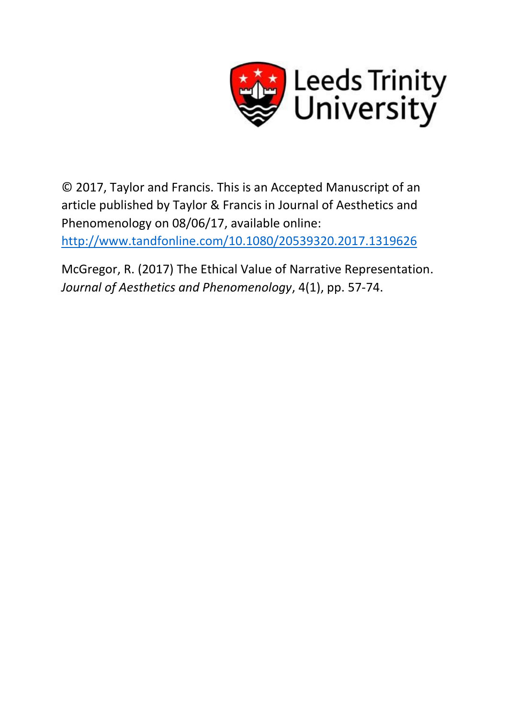

© 2017, Taylor and Francis. This is an Accepted Manuscript of an article published by Taylor & Francis in Journal of Aesthetics and Phenomenology on 08/06/17, available online: <http://www.tandfonline.com/10.1080/20539320.2017.1319626>

McGregor, R. (2017) The Ethical Value of Narrative Representation. *Journal of Aesthetics and Phenomenology*, 4(1), pp. 57-74.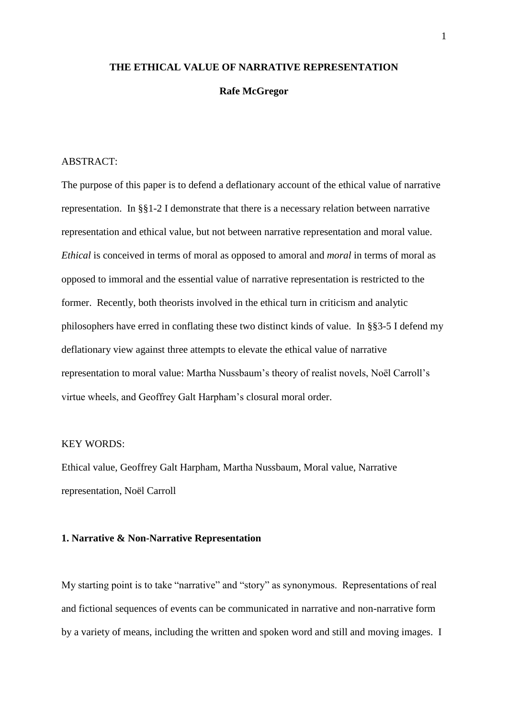#### **THE ETHICAL VALUE OF NARRATIVE REPRESENTATION**

#### **Rafe McGregor**

### ABSTRACT:

The purpose of this paper is to defend a deflationary account of the ethical value of narrative representation. In §§1-2 I demonstrate that there is a necessary relation between narrative representation and ethical value, but not between narrative representation and moral value. *Ethical* is conceived in terms of moral as opposed to amoral and *moral* in terms of moral as opposed to immoral and the essential value of narrative representation is restricted to the former. Recently, both theorists involved in the ethical turn in criticism and analytic philosophers have erred in conflating these two distinct kinds of value. In §§3-5 I defend my deflationary view against three attempts to elevate the ethical value of narrative representation to moral value: Martha Nussbaum's theory of realist novels, Noël Carroll's virtue wheels, and Geoffrey Galt Harpham's closural moral order.

# KEY WORDS:

Ethical value, Geoffrey Galt Harpham, Martha Nussbaum, Moral value, Narrative representation, Noël Carroll

## **1. Narrative & Non-Narrative Representation**

My starting point is to take "narrative" and "story" as synonymous. Representations of real and fictional sequences of events can be communicated in narrative and non-narrative form by a variety of means, including the written and spoken word and still and moving images. I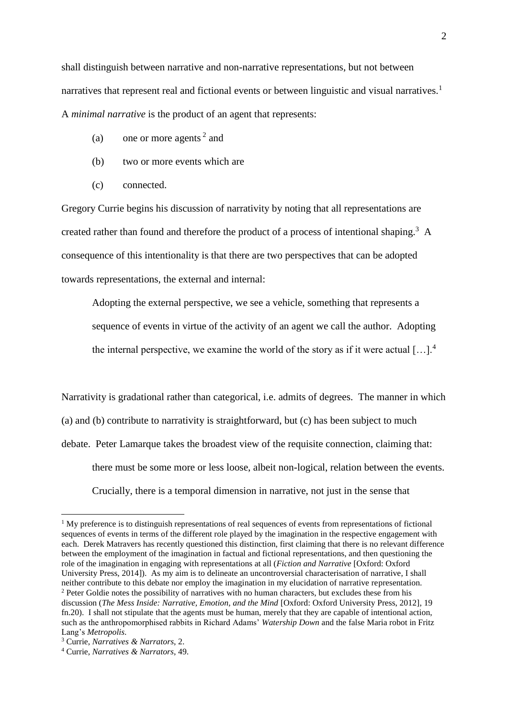shall distinguish between narrative and non-narrative representations, but not between narratives that represent real and fictional events or between linguistic and visual narratives.<sup>1</sup> A *minimal narrative* is the product of an agent that represents:

- (a) one or more agents  $2$  and
- (b) two or more events which are
- (c) connected.

Gregory Currie begins his discussion of narrativity by noting that all representations are created rather than found and therefore the product of a process of intentional shaping.<sup>3</sup> A consequence of this intentionality is that there are two perspectives that can be adopted towards representations, the external and internal:

Adopting the external perspective, we see a vehicle, something that represents a sequence of events in virtue of the activity of an agent we call the author. Adopting the internal perspective, we examine the world of the story as if it were actual  $[\dots]$ <sup>4</sup>

Narrativity is gradational rather than categorical, i.e. admits of degrees. The manner in which (a) and (b) contribute to narrativity is straightforward, but (c) has been subject to much debate. Peter Lamarque takes the broadest view of the requisite connection, claiming that: there must be some more or less loose, albeit non-logical, relation between the events. Crucially, there is a temporal dimension in narrative, not just in the sense that

 $1$  My preference is to distinguish representations of real sequences of events from representations of fictional sequences of events in terms of the different role played by the imagination in the respective engagement with each. Derek Matravers has recently questioned this distinction, first claiming that there is no relevant difference between the employment of the imagination in factual and fictional representations, and then questioning the role of the imagination in engaging with representations at all (*Fiction and Narrative* [Oxford: Oxford University Press, 2014]). As my aim is to delineate an uncontroversial characterisation of narrative, I shall neither contribute to this debate nor employ the imagination in my elucidation of narrative representation. <sup>2</sup> Peter Goldie notes the possibility of narratives with no human characters, but excludes these from his discussion (*The Mess Inside: Narrative, Emotion, and the Mind* [Oxford: Oxford University Press, 2012], 19 fn.20). I shall not stipulate that the agents must be human, merely that they are capable of intentional action, such as the anthropomorphised rabbits in Richard Adams' *Watership Down* and the false Maria robot in Fritz Lang's *Metropolis*.

<sup>3</sup> Currie, *Narratives & Narrators*, 2.

<sup>4</sup> Currie, *Narratives & Narrators*, 49.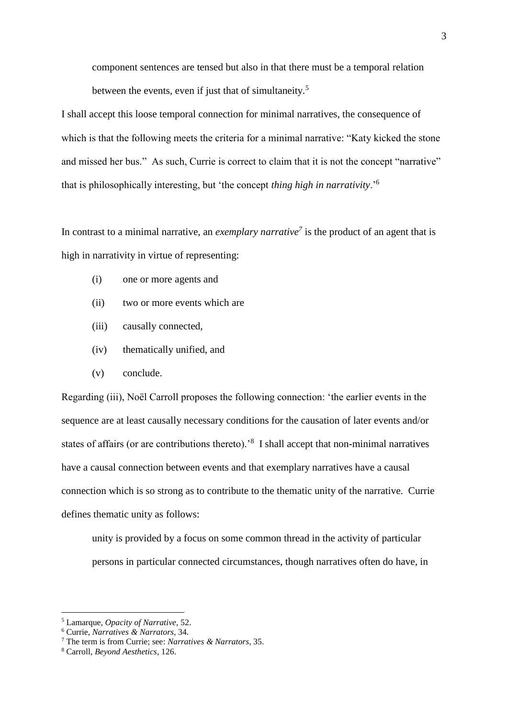component sentences are tensed but also in that there must be a temporal relation between the events, even if just that of simultaneity.<sup>5</sup>

I shall accept this loose temporal connection for minimal narratives, the consequence of which is that the following meets the criteria for a minimal narrative: "Katy kicked the stone and missed her bus." As such, Currie is correct to claim that it is not the concept "narrative" that is philosophically interesting, but 'the concept *thing high in narrativity*.'<sup>6</sup>

In contrast to a minimal narrative, an *exemplary narrative*<sup> $7$ </sup> is the product of an agent that is high in narrativity in virtue of representing:

- (i) one or more agents and
- (ii) two or more events which are
- (iii) causally connected,
- (iv) thematically unified, and
- (v) conclude.

Regarding (iii), Noël Carroll proposes the following connection: 'the earlier events in the sequence are at least causally necessary conditions for the causation of later events and/or states of affairs (or are contributions thereto).<sup>8</sup> I shall accept that non-minimal narratives have a causal connection between events and that exemplary narratives have a causal connection which is so strong as to contribute to the thematic unity of the narrative. Currie defines thematic unity as follows:

unity is provided by a focus on some common thread in the activity of particular persons in particular connected circumstances, though narratives often do have, in

<sup>5</sup> Lamarque, *Opacity of Narrative*, 52.

<sup>6</sup> Currie, *Narratives & Narrators*, 34.

<sup>7</sup> The term is from Currie; see: *Narratives & Narrators*, 35.

<sup>8</sup> Carroll, *Beyond Aesthetics*, 126.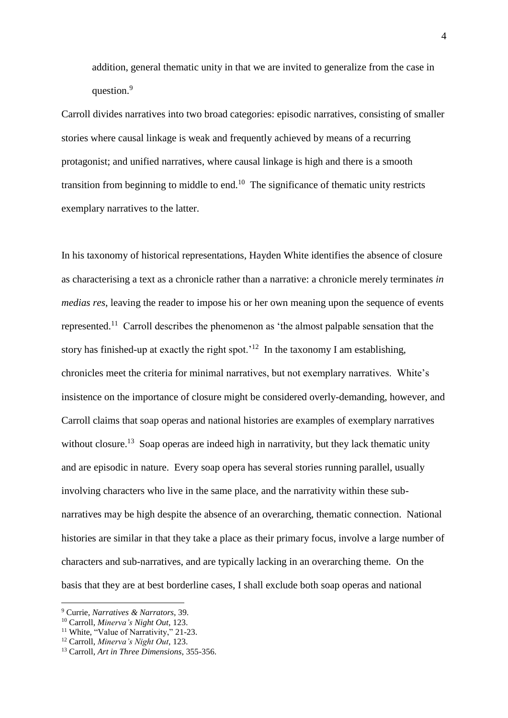addition, general thematic unity in that we are invited to generalize from the case in question.<sup>9</sup>

Carroll divides narratives into two broad categories: episodic narratives, consisting of smaller stories where causal linkage is weak and frequently achieved by means of a recurring protagonist; and unified narratives, where causal linkage is high and there is a smooth transition from beginning to middle to end.<sup>10</sup> The significance of thematic unity restricts exemplary narratives to the latter.

In his taxonomy of historical representations, Hayden White identifies the absence of closure as characterising a text as a chronicle rather than a narrative: a chronicle merely terminates *in medias res*, leaving the reader to impose his or her own meaning upon the sequence of events represented.<sup>11</sup> Carroll describes the phenomenon as 'the almost palpable sensation that the story has finished-up at exactly the right spot.<sup>'12</sup> In the taxonomy I am establishing, chronicles meet the criteria for minimal narratives, but not exemplary narratives. White's insistence on the importance of closure might be considered overly-demanding, however, and Carroll claims that soap operas and national histories are examples of exemplary narratives without closure.<sup>13</sup> Soap operas are indeed high in narrativity, but they lack thematic unity and are episodic in nature. Every soap opera has several stories running parallel, usually involving characters who live in the same place, and the narrativity within these subnarratives may be high despite the absence of an overarching, thematic connection. National histories are similar in that they take a place as their primary focus, involve a large number of characters and sub-narratives, and are typically lacking in an overarching theme. On the basis that they are at best borderline cases, I shall exclude both soap operas and national

<u>.</u>

<sup>9</sup> Currie, *Narratives & Narrators*, 39.

<sup>10</sup> Carroll, *Minerva's Night Out*, 123.

<sup>&</sup>lt;sup>11</sup> White, "Value of Narrativity," 21-23.

<sup>12</sup> Carroll, *Minerva's Night Out*, 123.

<sup>13</sup> Carroll, *Art in Three Dimensions*, 355-356.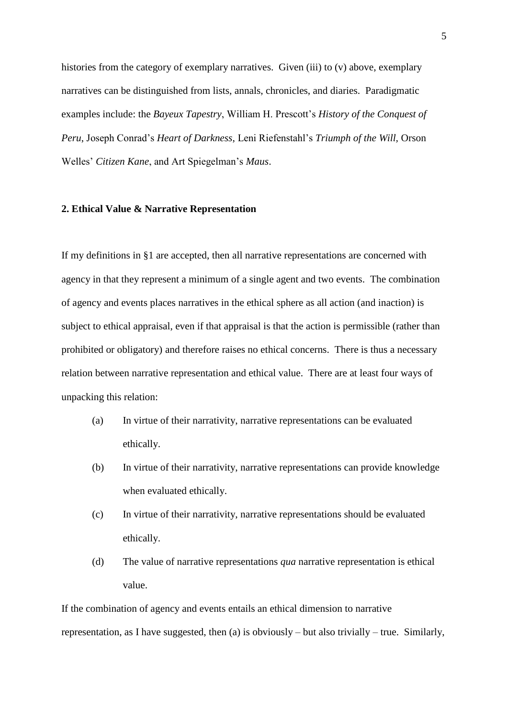histories from the category of exemplary narratives. Given (iii) to (v) above, exemplary narratives can be distinguished from lists, annals, chronicles, and diaries. Paradigmatic examples include: the *Bayeux Tapestry*, William H. Prescott's *History of the Conquest of Peru*, Joseph Conrad's *Heart of Darkness*, Leni Riefenstahl's *Triumph of the Will,* Orson Welles' *Citizen Kane*, and Art Spiegelman's *Maus*.

# **2. Ethical Value & Narrative Representation**

If my definitions in §1 are accepted, then all narrative representations are concerned with agency in that they represent a minimum of a single agent and two events. The combination of agency and events places narratives in the ethical sphere as all action (and inaction) is subject to ethical appraisal, even if that appraisal is that the action is permissible (rather than prohibited or obligatory) and therefore raises no ethical concerns. There is thus a necessary relation between narrative representation and ethical value. There are at least four ways of unpacking this relation:

- (a) In virtue of their narrativity, narrative representations can be evaluated ethically.
- (b) In virtue of their narrativity, narrative representations can provide knowledge when evaluated ethically.
- (c) In virtue of their narrativity, narrative representations should be evaluated ethically.
- (d) The value of narrative representations *qua* narrative representation is ethical value.

If the combination of agency and events entails an ethical dimension to narrative representation, as I have suggested, then (a) is obviously – but also trivially – true. Similarly,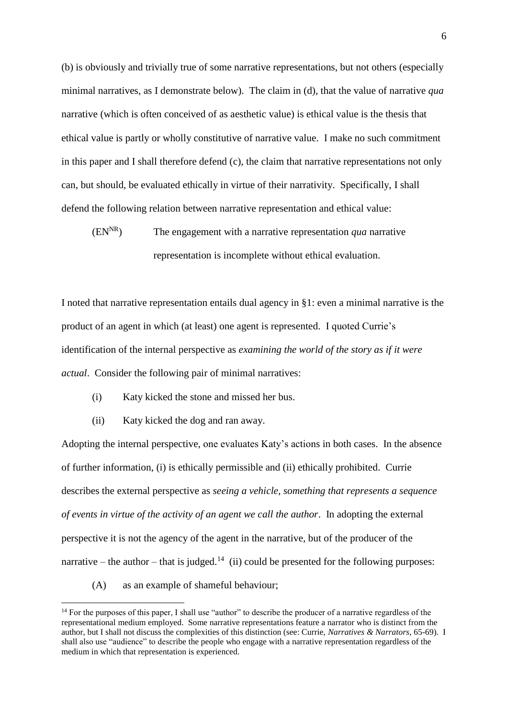(b) is obviously and trivially true of some narrative representations, but not others (especially minimal narratives, as I demonstrate below). The claim in (d), that the value of narrative *qua* narrative (which is often conceived of as aesthetic value) is ethical value is the thesis that ethical value is partly or wholly constitutive of narrative value. I make no such commitment in this paper and I shall therefore defend (c), the claim that narrative representations not only can, but should, be evaluated ethically in virtue of their narrativity. Specifically, I shall defend the following relation between narrative representation and ethical value:

# (EN NR ) The engagement with a narrative representation *qua* narrative representation is incomplete without ethical evaluation.

I noted that narrative representation entails dual agency in §1: even a minimal narrative is the product of an agent in which (at least) one agent is represented. I quoted Currie's identification of the internal perspective as *examining the world of the story as if it were actual*. Consider the following pair of minimal narratives:

- (i) Katy kicked the stone and missed her bus.
- (ii) Katy kicked the dog and ran away.

Adopting the internal perspective, one evaluates Katy's actions in both cases. In the absence of further information, (i) is ethically permissible and (ii) ethically prohibited. Currie describes the external perspective as *seeing a vehicle, something that represents a sequence of events in virtue of the activity of an agent we call the author*. In adopting the external perspective it is not the agency of the agent in the narrative, but of the producer of the narrative – the author – that is judged.<sup>14</sup> (ii) could be presented for the following purposes:

(A) as an example of shameful behaviour;

<u>.</u>

<sup>&</sup>lt;sup>14</sup> For the purposes of this paper. I shall use "author" to describe the producer of a narrative regardless of the representational medium employed. Some narrative representations feature a narrator who is distinct from the author, but I shall not discuss the complexities of this distinction (see: Currie, *Narratives & Narrators*, 65-69). I shall also use "audience" to describe the people who engage with a narrative representation regardless of the medium in which that representation is experienced.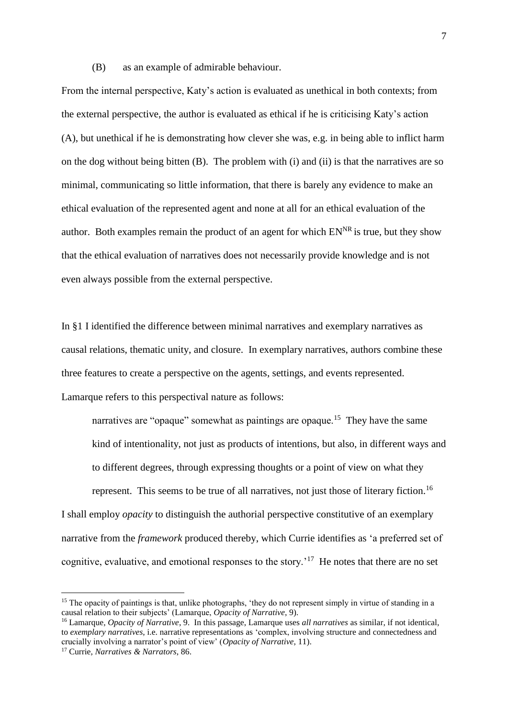### (B) as an example of admirable behaviour.

From the internal perspective, Katy's action is evaluated as unethical in both contexts; from the external perspective, the author is evaluated as ethical if he is criticising Katy's action (A), but unethical if he is demonstrating how clever she was, e.g. in being able to inflict harm on the dog without being bitten (B). The problem with (i) and (ii) is that the narratives are so minimal, communicating so little information, that there is barely any evidence to make an ethical evaluation of the represented agent and none at all for an ethical evaluation of the author. Both examples remain the product of an agent for which  $EN<sup>NR</sup>$  is true, but they show that the ethical evaluation of narratives does not necessarily provide knowledge and is not even always possible from the external perspective.

In §1 I identified the difference between minimal narratives and exemplary narratives as causal relations, thematic unity, and closure. In exemplary narratives, authors combine these three features to create a perspective on the agents, settings, and events represented. Lamarque refers to this perspectival nature as follows:

narratives are "opaque" somewhat as paintings are opaque.<sup>15</sup> They have the same kind of intentionality, not just as products of intentions, but also, in different ways and to different degrees, through expressing thoughts or a point of view on what they represent. This seems to be true of all narratives, not just those of literary fiction.<sup>16</sup> I shall employ *opacity* to distinguish the authorial perspective constitutive of an exemplary narrative from the *framework* produced thereby, which Currie identifies as 'a preferred set of cognitive, evaluative, and emotional responses to the story.<sup>'17</sup> He notes that there are no set

 $15$  The opacity of paintings is that, unlike photographs, 'they do not represent simply in virtue of standing in a causal relation to their subjects' (Lamarque, *Opacity of Narrative*, 9).

<sup>16</sup> Lamarque, *Opacity of Narrative*, 9. In this passage, Lamarque uses *all narratives* as similar, if not identical, to *exemplary narratives*, i.e. narrative representations as 'complex, involving structure and connectedness and crucially involving a narrator's point of view' (*Opacity of Narrative*, 11).

<sup>17</sup> Currie, *Narratives & Narrators*, 86.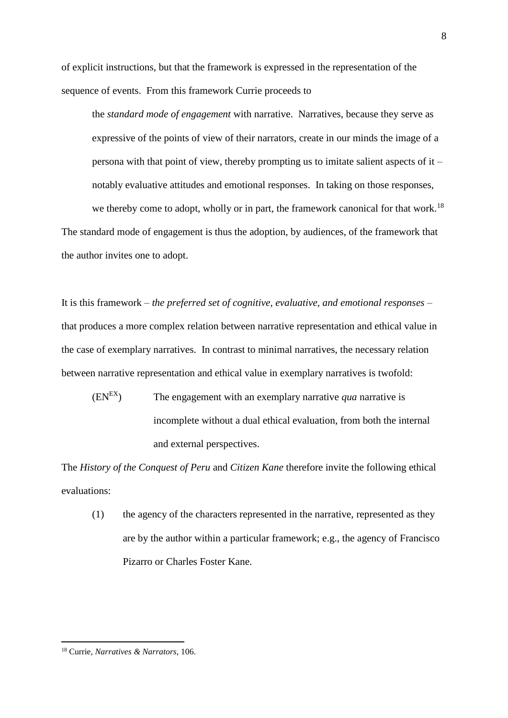of explicit instructions, but that the framework is expressed in the representation of the sequence of events. From this framework Currie proceeds to

the *standard mode of engagement* with narrative. Narratives, because they serve as expressive of the points of view of their narrators, create in our minds the image of a persona with that point of view, thereby prompting us to imitate salient aspects of it – notably evaluative attitudes and emotional responses. In taking on those responses, we thereby come to adopt, wholly or in part, the framework canonical for that work.<sup>18</sup>

The standard mode of engagement is thus the adoption, by audiences, of the framework that the author invites one to adopt.

It is this framework – *the preferred set of cognitive, evaluative, and emotional responses* – that produces a more complex relation between narrative representation and ethical value in the case of exemplary narratives. In contrast to minimal narratives, the necessary relation between narrative representation and ethical value in exemplary narratives is twofold:

 $(EN<sup>EX</sup>)$ The engagement with an exemplary narrative *qua* narrative is incomplete without a dual ethical evaluation, from both the internal and external perspectives.

The *History of the Conquest of Peru* and *Citizen Kane* therefore invite the following ethical evaluations:

(1) the agency of the characters represented in the narrative, represented as they are by the author within a particular framework; e.g., the agency of Francisco Pizarro or Charles Foster Kane.

<sup>18</sup> Currie, *Narratives & Narrators*, 106.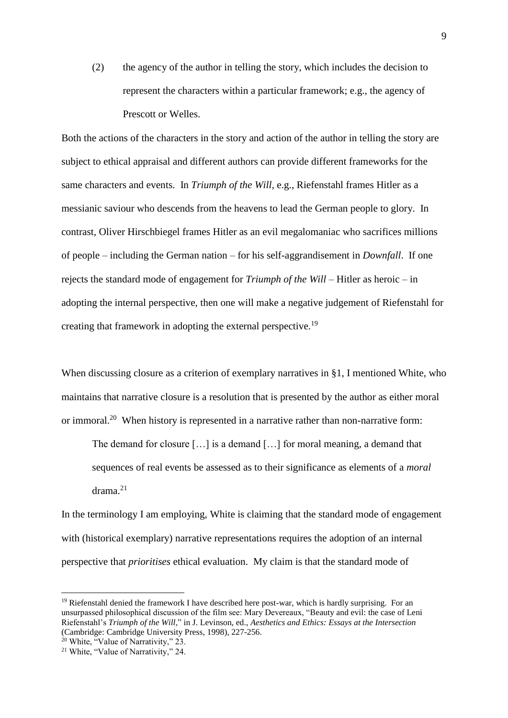(2) the agency of the author in telling the story, which includes the decision to represent the characters within a particular framework; e.g., the agency of Prescott or Welles.

Both the actions of the characters in the story and action of the author in telling the story are subject to ethical appraisal and different authors can provide different frameworks for the same characters and events. In *Triumph of the Will*, e.g., Riefenstahl frames Hitler as a messianic saviour who descends from the heavens to lead the German people to glory. In contrast, Oliver Hirschbiegel frames Hitler as an evil megalomaniac who sacrifices millions of people – including the German nation – for his self-aggrandisement in *Downfall*. If one rejects the standard mode of engagement for *Triumph of the Will* – Hitler as heroic – in adopting the internal perspective, then one will make a negative judgement of Riefenstahl for creating that framework in adopting the external perspective.<sup>19</sup>

When discussing closure as a criterion of exemplary narratives in §1, I mentioned White, who maintains that narrative closure is a resolution that is presented by the author as either moral or immoral.<sup>20</sup> When history is represented in a narrative rather than non-narrative form:

The demand for closure […] is a demand […] for moral meaning, a demand that sequences of real events be assessed as to their significance as elements of a *moral*  drama.<sup>21</sup>

In the terminology I am employing, White is claiming that the standard mode of engagement with (historical exemplary) narrative representations requires the adoption of an internal perspective that *prioritises* ethical evaluation. My claim is that the standard mode of

 $19$  Riefenstahl denied the framework I have described here post-war, which is hardly surprising. For an unsurpassed philosophical discussion of the film see: Mary Devereaux, "Beauty and evil: the case of Leni Riefenstahl's *Triumph of the Will*," in J. Levinson, ed., *Aesthetics and Ethics: Essays at the Intersection*  (Cambridge: Cambridge University Press, 1998), 227-256.

 $20$  White, "Value of Narrativity," 23.

<sup>&</sup>lt;sup>21</sup> White, "Value of Narrativity," 24.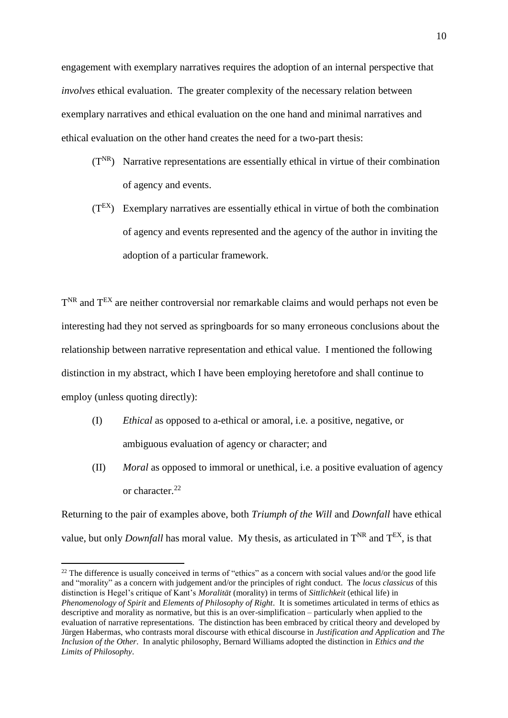engagement with exemplary narratives requires the adoption of an internal perspective that *involves* ethical evaluation. The greater complexity of the necessary relation between exemplary narratives and ethical evaluation on the one hand and minimal narratives and ethical evaluation on the other hand creates the need for a two-part thesis:

- $(T<sup>NR</sup>)$  Narrative representations are essentially ethical in virtue of their combination of agency and events.
- $(T<sup>EX</sup>)$  Exemplary narratives are essentially ethical in virtue of both the combination of agency and events represented and the agency of the author in inviting the adoption of a particular framework.

 $T<sup>NR</sup>$  and  $T<sup>EX</sup>$  are neither controversial nor remarkable claims and would perhaps not even be interesting had they not served as springboards for so many erroneous conclusions about the relationship between narrative representation and ethical value. I mentioned the following distinction in my abstract, which I have been employing heretofore and shall continue to employ (unless quoting directly):

- (I) *Ethical* as opposed to a-ethical or amoral, i.e. a positive, negative, or ambiguous evaluation of agency or character; and
- (II) *Moral* as opposed to immoral or unethical, i.e. a positive evaluation of agency or character. 22

Returning to the pair of examples above, both *Triumph of the Will* and *Downfall* have ethical value, but only *Downfall* has moral value. My thesis, as articulated in  $T<sup>NR</sup>$  and  $T<sup>EX</sup>$ , is that

<u>.</u>

 $22$  The difference is usually conceived in terms of "ethics" as a concern with social values and/or the good life and "morality" as a concern with judgement and/or the principles of right conduct. The *locus classicus* of this distinction is Hegel's critique of Kant's *Moralität* (morality) in terms of *Sittlichkeit* (ethical life) in *Phenomenology of Spirit* and *Elements of Philosophy of Right*. It is sometimes articulated in terms of ethics as descriptive and morality as normative, but this is an over-simplification – particularly when applied to the evaluation of narrative representations. The distinction has been embraced by critical theory and developed by Jürgen Habermas, who contrasts moral discourse with ethical discourse in *Justification and Application* and *The Inclusion of the Other*. In analytic philosophy, Bernard Williams adopted the distinction in *Ethics and the Limits of Philosophy*.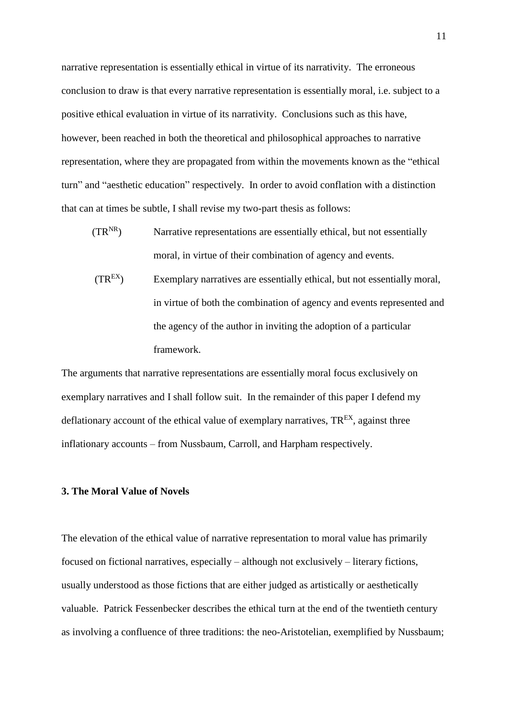narrative representation is essentially ethical in virtue of its narrativity. The erroneous conclusion to draw is that every narrative representation is essentially moral, i.e. subject to a positive ethical evaluation in virtue of its narrativity. Conclusions such as this have, however, been reached in both the theoretical and philosophical approaches to narrative representation, where they are propagated from within the movements known as the "ethical turn" and "aesthetic education" respectively. In order to avoid conflation with a distinction that can at times be subtle, I shall revise my two-part thesis as follows:

- $(TR^{NR})$ Narrative representations are essentially ethical, but not essentially moral, in virtue of their combination of agency and events.
- $(TR<sup>EX</sup>)$  Exemplary narratives are essentially ethical, but not essentially moral, in virtue of both the combination of agency and events represented and the agency of the author in inviting the adoption of a particular framework.

The arguments that narrative representations are essentially moral focus exclusively on exemplary narratives and I shall follow suit. In the remainder of this paper I defend my deflationary account of the ethical value of exemplary narratives,  $TR<sup>EX</sup>$ , against three inflationary accounts – from Nussbaum, Carroll, and Harpham respectively.

## **3. The Moral Value of Novels**

The elevation of the ethical value of narrative representation to moral value has primarily focused on fictional narratives, especially – although not exclusively – literary fictions, usually understood as those fictions that are either judged as artistically or aesthetically valuable. Patrick Fessenbecker describes the ethical turn at the end of the twentieth century as involving a confluence of three traditions: the neo-Aristotelian, exemplified by Nussbaum;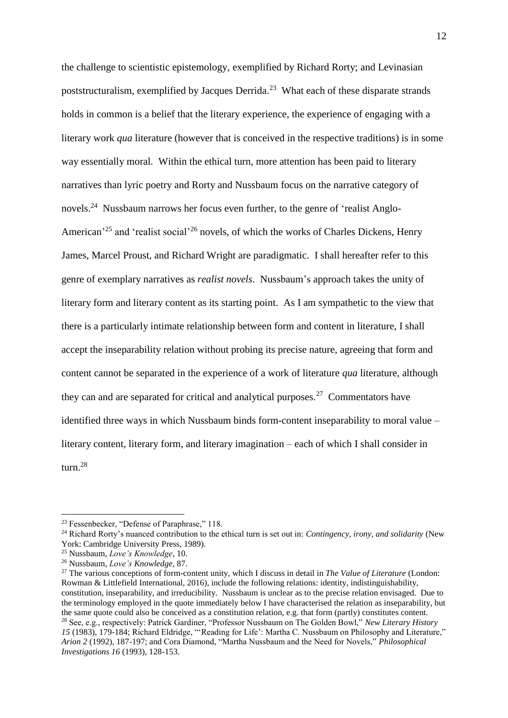the challenge to scientistic epistemology, exemplified by Richard Rorty; and Levinasian poststructuralism, exemplified by Jacques Derrida.<sup>23</sup> What each of these disparate strands holds in common is a belief that the literary experience, the experience of engaging with a literary work *qua* literature (however that is conceived in the respective traditions) is in some way essentially moral. Within the ethical turn, more attention has been paid to literary narratives than lyric poetry and Rorty and Nussbaum focus on the narrative category of novels.<sup>24</sup> Nussbaum narrows her focus even further, to the genre of 'realist Anglo-American<sup>'25</sup> and 'realist social<sup>'26</sup> novels, of which the works of Charles Dickens, Henry James, Marcel Proust, and Richard Wright are paradigmatic. I shall hereafter refer to this genre of exemplary narratives as *realist novels*. Nussbaum's approach takes the unity of literary form and literary content as its starting point. As I am sympathetic to the view that there is a particularly intimate relationship between form and content in literature, I shall accept the inseparability relation without probing its precise nature, agreeing that form and content cannot be separated in the experience of a work of literature *qua* literature, although they can and are separated for critical and analytical purposes.<sup>27</sup> Commentators have identified three ways in which Nussbaum binds form-content inseparability to moral value – literary content, literary form, and literary imagination – each of which I shall consider in turn<sup>28</sup>

<sup>&</sup>lt;sup>23</sup> Fessenbecker, "Defense of Paraphrase," 118.

<sup>24</sup> Richard Rorty's nuanced contribution to the ethical turn is set out in: *Contingency, irony, and solidarity* (New York: Cambridge University Press, 1989).

<sup>25</sup> Nussbaum, *Love's Knowledge*, 10.

<sup>26</sup> Nussbaum, *Love's Knowledge*, 87.

<sup>&</sup>lt;sup>27</sup> The various conceptions of form-content unity, which I discuss in detail in *The Value of Literature* (London: Rowman & Littlefield International, 2016), include the following relations: identity, indistinguishability, constitution, inseparability, and irreducibility. Nussbaum is unclear as to the precise relation envisaged. Due to the terminology employed in the quote immediately below I have characterised the relation as inseparability, but the same quote could also be conceived as a constitution relation, e.g. that form (partly) constitutes content. <sup>28</sup> See, e.g., respectively: Patrick Gardiner, "Professor Nussbaum on The Golden Bowl," *New Literary History 15* (1983), 179-184; Richard Eldridge, "'Reading for Life': Martha C. Nussbaum on Philosophy and Literature," *Arion 2* (1992), 187-197; and Cora Diamond, "Martha Nussbaum and the Need for Novels," *Philosophical Investigations 16* (1993), 128-153.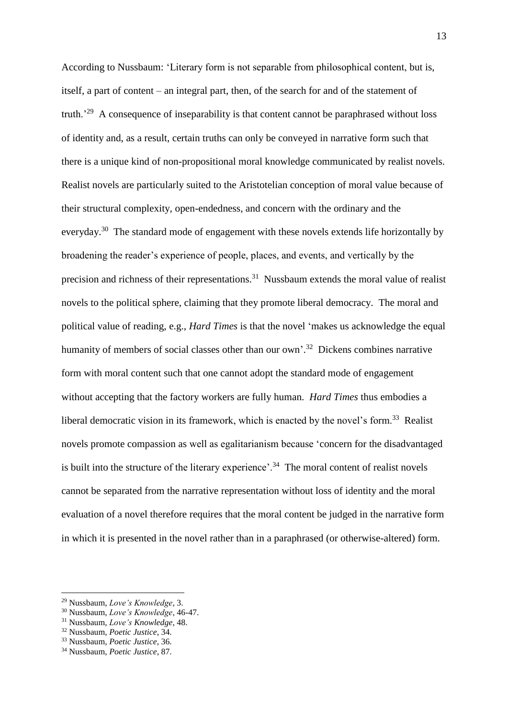According to Nussbaum: 'Literary form is not separable from philosophical content, but is, itself, a part of content – an integral part, then, of the search for and of the statement of truth.<sup>'29</sup> A consequence of inseparability is that content cannot be paraphrased without loss of identity and, as a result, certain truths can only be conveyed in narrative form such that there is a unique kind of non-propositional moral knowledge communicated by realist novels. Realist novels are particularly suited to the Aristotelian conception of moral value because of their structural complexity, open-endedness, and concern with the ordinary and the everyday.<sup>30</sup> The standard mode of engagement with these novels extends life horizontally by broadening the reader's experience of people, places, and events, and vertically by the precision and richness of their representations.<sup>31</sup> Nussbaum extends the moral value of realist novels to the political sphere, claiming that they promote liberal democracy. The moral and political value of reading, e.g., *Hard Times* is that the novel 'makes us acknowledge the equal humanity of members of social classes other than our own<sup>2</sup>.<sup>32</sup> Dickens combines narrative form with moral content such that one cannot adopt the standard mode of engagement without accepting that the factory workers are fully human. *Hard Times* thus embodies a liberal democratic vision in its framework, which is enacted by the novel's form.<sup>33</sup> Realist novels promote compassion as well as egalitarianism because 'concern for the disadvantaged is built into the structure of the literary experience'.<sup>34</sup> The moral content of realist novels cannot be separated from the narrative representation without loss of identity and the moral evaluation of a novel therefore requires that the moral content be judged in the narrative form in which it is presented in the novel rather than in a paraphrased (or otherwise-altered) form.

<sup>29</sup> Nussbaum, *Love's Knowledge*, 3.

<sup>30</sup> Nussbaum, *Love's Knowledge*, 46-47.

<sup>31</sup> Nussbaum, *Love's Knowledge*, 48.

<sup>32</sup> Nussbaum, *Poetic Justice*, 34.

<sup>33</sup> Nussbaum, *Poetic Justice*, 36.

<sup>34</sup> Nussbaum, *Poetic Justice*, 87.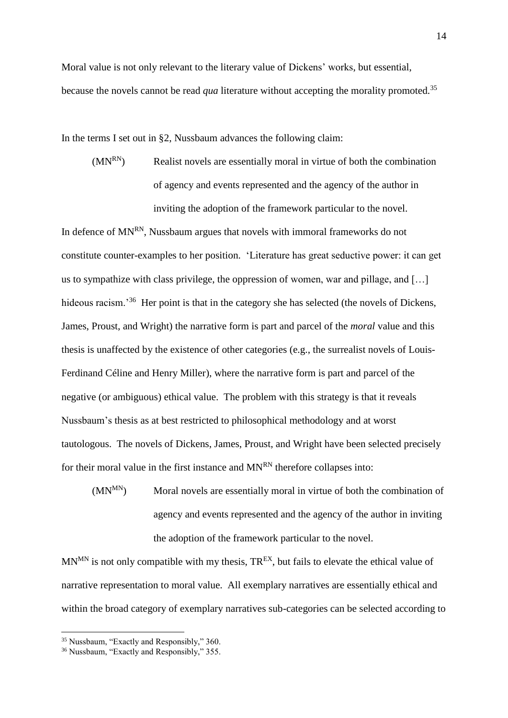Moral value is not only relevant to the literary value of Dickens' works, but essential, because the novels cannot be read *qua* literature without accepting the morality promoted. 35

In the terms I set out in §2, Nussbaum advances the following claim:

 $(MN<sup>RN</sup>)$ Realist novels are essentially moral in virtue of both the combination of agency and events represented and the agency of the author in inviting the adoption of the framework particular to the novel.

In defence of MN<sup>RN</sup>, Nussbaum argues that novels with immoral frameworks do not constitute counter-examples to her position. 'Literature has great seductive power: it can get us to sympathize with class privilege, the oppression of women, war and pillage, and […] hideous racism.<sup>36</sup> Her point is that in the category she has selected (the novels of Dickens, James, Proust, and Wright) the narrative form is part and parcel of the *moral* value and this thesis is unaffected by the existence of other categories (e.g., the surrealist novels of Louis-Ferdinand Céline and Henry Miller), where the narrative form is part and parcel of the negative (or ambiguous) ethical value. The problem with this strategy is that it reveals Nussbaum's thesis as at best restricted to philosophical methodology and at worst tautologous. The novels of Dickens, James, Proust, and Wright have been selected precisely for their moral value in the first instance and  $MN^{RN}$  therefore collapses into:

(MN<sup>MN</sup> ) Moral novels are essentially moral in virtue of both the combination of agency and events represented and the agency of the author in inviting the adoption of the framework particular to the novel.

 $MN^{MN}$  is not only compatible with my thesis,  $TR^{EX}$ , but fails to elevate the ethical value of narrative representation to moral value. All exemplary narratives are essentially ethical and within the broad category of exemplary narratives sub-categories can be selected according to

<sup>35</sup> Nussbaum, "Exactly and Responsibly," 360.

<sup>36</sup> Nussbaum, "Exactly and Responsibly," 355.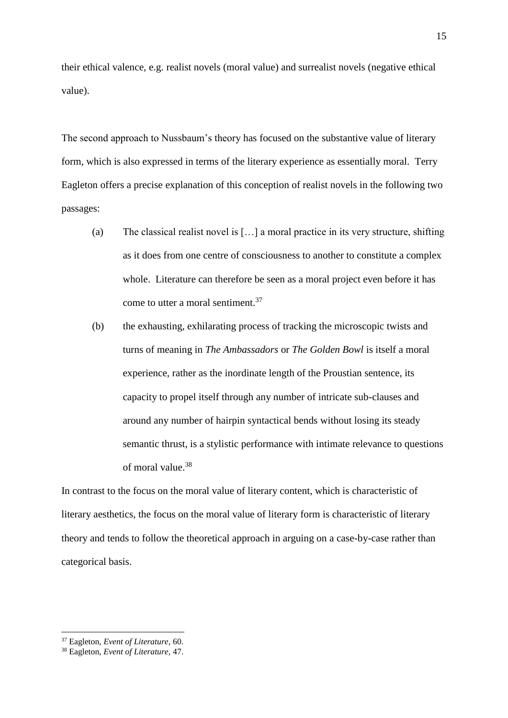their ethical valence, e.g. realist novels (moral value) and surrealist novels (negative ethical value).

The second approach to Nussbaum's theory has focused on the substantive value of literary form, which is also expressed in terms of the literary experience as essentially moral. Terry Eagleton offers a precise explanation of this conception of realist novels in the following two passages:

- (a) The classical realist novel is […] a moral practice in its very structure, shifting as it does from one centre of consciousness to another to constitute a complex whole. Literature can therefore be seen as a moral project even before it has come to utter a moral sentiment.<sup>37</sup>
- (b) the exhausting, exhilarating process of tracking the microscopic twists and turns of meaning in *The Ambassadors* or *The Golden Bowl* is itself a moral experience, rather as the inordinate length of the Proustian sentence, its capacity to propel itself through any number of intricate sub-clauses and around any number of hairpin syntactical bends without losing its steady semantic thrust, is a stylistic performance with intimate relevance to questions of moral value.<sup>38</sup>

In contrast to the focus on the moral value of literary content, which is characteristic of literary aesthetics, the focus on the moral value of literary form is characteristic of literary theory and tends to follow the theoretical approach in arguing on a case-by-case rather than categorical basis.

<sup>37</sup> Eagleton, *Event of Literature*, 60.

<sup>38</sup> Eagleton, *Event of Literature*, 47.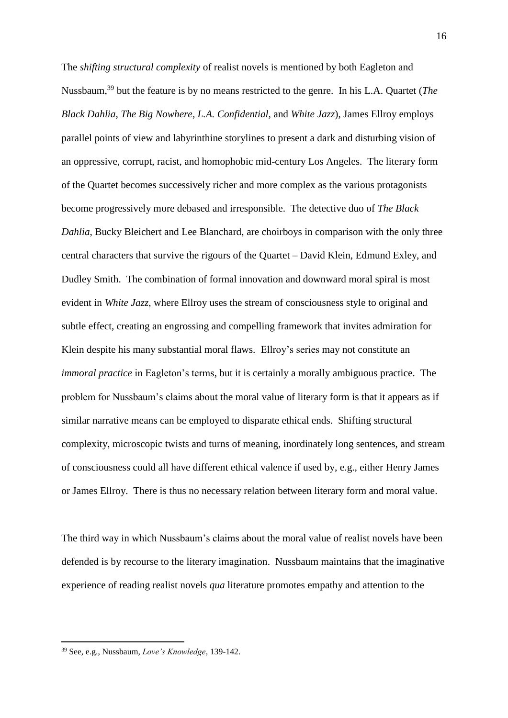The *shifting structural complexity* of realist novels is mentioned by both Eagleton and Nussbaum,<sup>39</sup> but the feature is by no means restricted to the genre. In his L.A. Quartet (*The Black Dahlia*, *The Big Nowhere*, *L.A. Confidential*, and *White Jazz*), James Ellroy employs parallel points of view and labyrinthine storylines to present a dark and disturbing vision of an oppressive, corrupt, racist, and homophobic mid-century Los Angeles. The literary form of the Quartet becomes successively richer and more complex as the various protagonists become progressively more debased and irresponsible. The detective duo of *The Black Dahlia*, Bucky Bleichert and Lee Blanchard, are choirboys in comparison with the only three central characters that survive the rigours of the Quartet – David Klein, Edmund Exley, and Dudley Smith. The combination of formal innovation and downward moral spiral is most evident in *White Jazz*, where Ellroy uses the stream of consciousness style to original and subtle effect, creating an engrossing and compelling framework that invites admiration for Klein despite his many substantial moral flaws. Ellroy's series may not constitute an *immoral practice* in Eagleton's terms, but it is certainly a morally ambiguous practice. The problem for Nussbaum's claims about the moral value of literary form is that it appears as if similar narrative means can be employed to disparate ethical ends. Shifting structural complexity, microscopic twists and turns of meaning, inordinately long sentences, and stream of consciousness could all have different ethical valence if used by, e.g., either Henry James or James Ellroy. There is thus no necessary relation between literary form and moral value.

The third way in which Nussbaum's claims about the moral value of realist novels have been defended is by recourse to the literary imagination. Nussbaum maintains that the imaginative experience of reading realist novels *qua* literature promotes empathy and attention to the

<sup>39</sup> See, e.g., Nussbaum, *Love's Knowledge*, 139-142.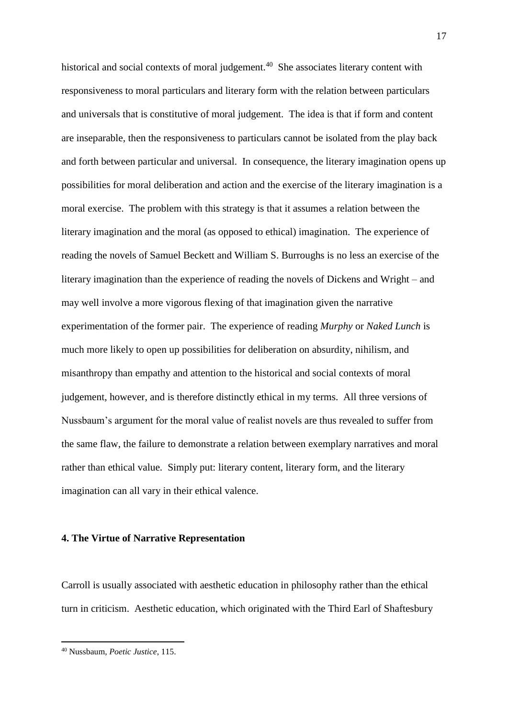historical and social contexts of moral judgement.<sup>40</sup> She associates literary content with responsiveness to moral particulars and literary form with the relation between particulars and universals that is constitutive of moral judgement. The idea is that if form and content are inseparable, then the responsiveness to particulars cannot be isolated from the play back and forth between particular and universal. In consequence, the literary imagination opens up possibilities for moral deliberation and action and the exercise of the literary imagination is a moral exercise. The problem with this strategy is that it assumes a relation between the literary imagination and the moral (as opposed to ethical) imagination. The experience of reading the novels of Samuel Beckett and William S. Burroughs is no less an exercise of the literary imagination than the experience of reading the novels of Dickens and Wright – and may well involve a more vigorous flexing of that imagination given the narrative experimentation of the former pair. The experience of reading *Murphy* or *Naked Lunch* is much more likely to open up possibilities for deliberation on absurdity, nihilism, and misanthropy than empathy and attention to the historical and social contexts of moral judgement, however, and is therefore distinctly ethical in my terms. All three versions of Nussbaum's argument for the moral value of realist novels are thus revealed to suffer from the same flaw, the failure to demonstrate a relation between exemplary narratives and moral rather than ethical value. Simply put: literary content, literary form, and the literary imagination can all vary in their ethical valence.

#### **4. The Virtue of Narrative Representation**

Carroll is usually associated with aesthetic education in philosophy rather than the ethical turn in criticism. Aesthetic education, which originated with the Third Earl of Shaftesbury

<sup>40</sup> Nussbaum, *Poetic Justice*, 115.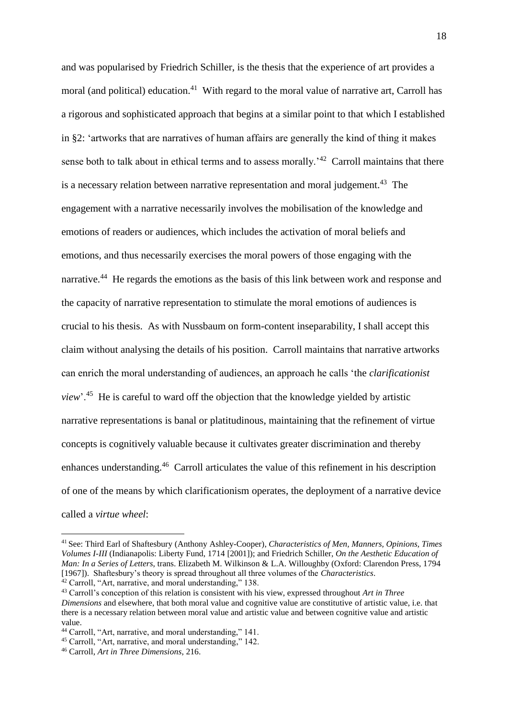and was popularised by Friedrich Schiller, is the thesis that the experience of art provides a moral (and political) education.<sup>41</sup> With regard to the moral value of narrative art, Carroll has a rigorous and sophisticated approach that begins at a similar point to that which I established in §2: 'artworks that are narratives of human affairs are generally the kind of thing it makes sense both to talk about in ethical terms and to assess morally.<sup>42</sup> Carroll maintains that there is a necessary relation between narrative representation and moral judgement.<sup>43</sup> The engagement with a narrative necessarily involves the mobilisation of the knowledge and emotions of readers or audiences, which includes the activation of moral beliefs and emotions, and thus necessarily exercises the moral powers of those engaging with the narrative.<sup>44</sup> He regards the emotions as the basis of this link between work and response and the capacity of narrative representation to stimulate the moral emotions of audiences is crucial to his thesis. As with Nussbaum on form-content inseparability, I shall accept this claim without analysing the details of his position. Carroll maintains that narrative artworks can enrich the moral understanding of audiences, an approach he calls 'the *clarificationist view*'.<sup>45</sup> He is careful to ward off the objection that the knowledge yielded by artistic narrative representations is banal or platitudinous, maintaining that the refinement of virtue concepts is cognitively valuable because it cultivates greater discrimination and thereby enhances understanding.<sup>46</sup> Carroll articulates the value of this refinement in his description of one of the means by which clarificationism operates, the deployment of a narrative device called a *virtue wheel*:

<u>.</u>

<sup>41</sup> See: Third Earl of Shaftesbury (Anthony Ashley-Cooper), *Characteristics of Men, Manners, Opinions, Times Volumes I-III* (Indianapolis: Liberty Fund, 1714 [2001]); and Friedrich Schiller, *On the Aesthetic Education of Man: In a Series of Letters*, trans. Elizabeth M. Wilkinson & L.A. Willoughby (Oxford: Clarendon Press, 1794 [1967]). Shaftesbury's theory is spread throughout all three volumes of the *Characteristics*.

<sup>&</sup>lt;sup>42</sup> Carroll, "Art, narrative, and moral understanding," 138.

<sup>43</sup> Carroll's conception of this relation is consistent with his view, expressed throughout *Art in Three Dimensions* and elsewhere, that both moral value and cognitive value are constitutive of artistic value, i.e. that there is a necessary relation between moral value and artistic value and between cognitive value and artistic value.

<sup>44</sup> Carroll, "Art, narrative, and moral understanding," 141.

<sup>&</sup>lt;sup>45</sup> Carroll, "Art, narrative, and moral understanding," 142.

<sup>46</sup> Carroll, *Art in Three Dimensions*, 216.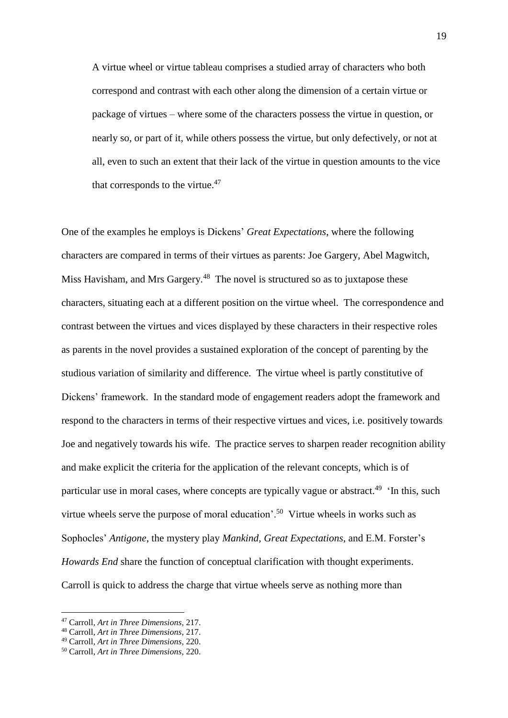A virtue wheel or virtue tableau comprises a studied array of characters who both correspond and contrast with each other along the dimension of a certain virtue or package of virtues – where some of the characters possess the virtue in question, or nearly so, or part of it, while others possess the virtue, but only defectively, or not at all, even to such an extent that their lack of the virtue in question amounts to the vice that corresponds to the virtue. 47

One of the examples he employs is Dickens' *Great Expectations*, where the following characters are compared in terms of their virtues as parents: Joe Gargery, Abel Magwitch, Miss Havisham, and Mrs Gargery.<sup>48</sup> The novel is structured so as to juxtapose these characters, situating each at a different position on the virtue wheel. The correspondence and contrast between the virtues and vices displayed by these characters in their respective roles as parents in the novel provides a sustained exploration of the concept of parenting by the studious variation of similarity and difference. The virtue wheel is partly constitutive of Dickens' framework. In the standard mode of engagement readers adopt the framework and respond to the characters in terms of their respective virtues and vices, i.e. positively towards Joe and negatively towards his wife. The practice serves to sharpen reader recognition ability and make explicit the criteria for the application of the relevant concepts, which is of particular use in moral cases, where concepts are typically vague or abstract.<sup>49</sup> 'In this, such virtue wheels serve the purpose of moral education'.<sup>50</sup> Virtue wheels in works such as Sophocles' *Antigone*, the mystery play *Mankind*, *Great Expectations*, and E.M. Forster's *Howards End* share the function of conceptual clarification with thought experiments. Carroll is quick to address the charge that virtue wheels serve as nothing more than

<sup>47</sup> Carroll, *Art in Three Dimensions*, 217.

<sup>48</sup> Carroll, *Art in Three Dimensions*, 217.

<sup>49</sup> Carroll, *Art in Three Dimensions*, 220.

<sup>50</sup> Carroll, *Art in Three Dimensions*, 220.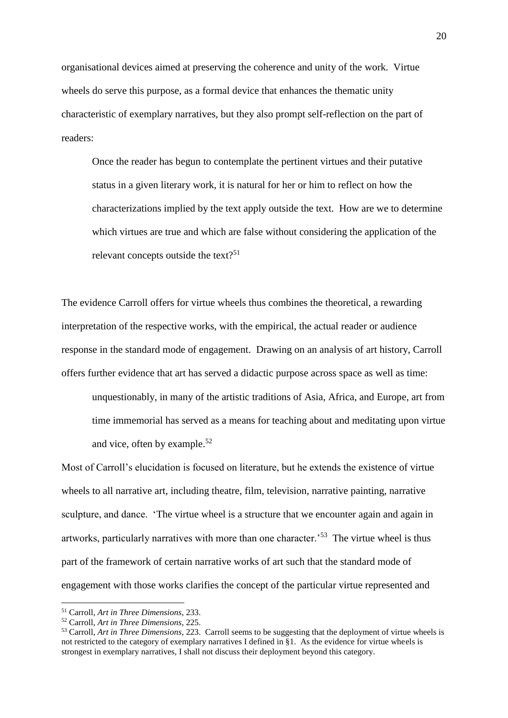organisational devices aimed at preserving the coherence and unity of the work. Virtue wheels do serve this purpose, as a formal device that enhances the thematic unity characteristic of exemplary narratives, but they also prompt self-reflection on the part of readers:

Once the reader has begun to contemplate the pertinent virtues and their putative status in a given literary work, it is natural for her or him to reflect on how the characterizations implied by the text apply outside the text. How are we to determine which virtues are true and which are false without considering the application of the relevant concepts outside the text?<sup>51</sup>

The evidence Carroll offers for virtue wheels thus combines the theoretical, a rewarding interpretation of the respective works, with the empirical, the actual reader or audience response in the standard mode of engagement. Drawing on an analysis of art history, Carroll offers further evidence that art has served a didactic purpose across space as well as time:

unquestionably, in many of the artistic traditions of Asia, Africa, and Europe, art from time immemorial has served as a means for teaching about and meditating upon virtue and vice, often by example. 52

Most of Carroll's elucidation is focused on literature, but he extends the existence of virtue wheels to all narrative art, including theatre, film, television, narrative painting, narrative sculpture, and dance. 'The virtue wheel is a structure that we encounter again and again in artworks, particularly narratives with more than one character.<sup>553</sup> The virtue wheel is thus part of the framework of certain narrative works of art such that the standard mode of engagement with those works clarifies the concept of the particular virtue represented and

<u>.</u>

<sup>51</sup> Carroll, *Art in Three Dimensions*, 233.

<sup>52</sup> Carroll, *Art in Three Dimensions*, 225.

<sup>53</sup> Carroll, *Art in Three Dimensions*, 223. Carroll seems to be suggesting that the deployment of virtue wheels is not restricted to the category of exemplary narratives I defined in §1. As the evidence for virtue wheels is strongest in exemplary narratives, I shall not discuss their deployment beyond this category.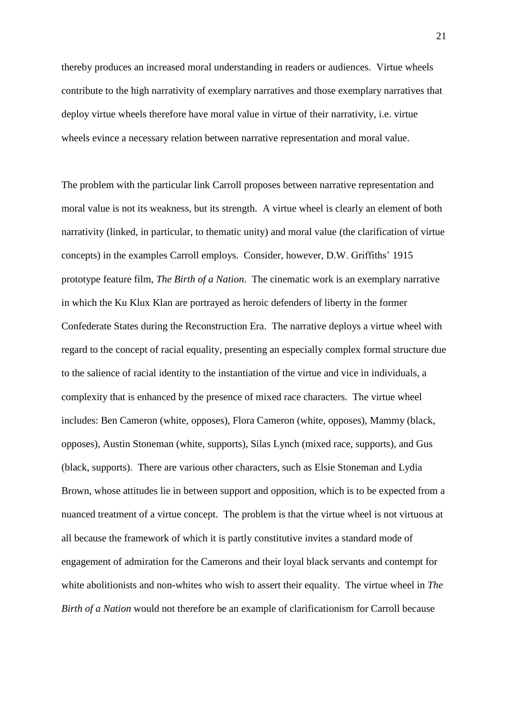thereby produces an increased moral understanding in readers or audiences. Virtue wheels contribute to the high narrativity of exemplary narratives and those exemplary narratives that deploy virtue wheels therefore have moral value in virtue of their narrativity, i.e. virtue wheels evince a necessary relation between narrative representation and moral value.

The problem with the particular link Carroll proposes between narrative representation and moral value is not its weakness, but its strength. A virtue wheel is clearly an element of both narrativity (linked, in particular, to thematic unity) and moral value (the clarification of virtue concepts) in the examples Carroll employs. Consider, however, D.W. Griffiths' 1915 prototype feature film, *The Birth of a Nation*. The cinematic work is an exemplary narrative in which the Ku Klux Klan are portrayed as heroic defenders of liberty in the former Confederate States during the Reconstruction Era. The narrative deploys a virtue wheel with regard to the concept of racial equality, presenting an especially complex formal structure due to the salience of racial identity to the instantiation of the virtue and vice in individuals, a complexity that is enhanced by the presence of mixed race characters. The virtue wheel includes: Ben Cameron (white, opposes), Flora Cameron (white, opposes), Mammy (black, opposes), Austin Stoneman (white, supports), Silas Lynch (mixed race, supports), and Gus (black, supports). There are various other characters, such as Elsie Stoneman and Lydia Brown, whose attitudes lie in between support and opposition, which is to be expected from a nuanced treatment of a virtue concept. The problem is that the virtue wheel is not virtuous at all because the framework of which it is partly constitutive invites a standard mode of engagement of admiration for the Camerons and their loyal black servants and contempt for white abolitionists and non-whites who wish to assert their equality. The virtue wheel in *The Birth of a Nation* would not therefore be an example of clarificationism for Carroll because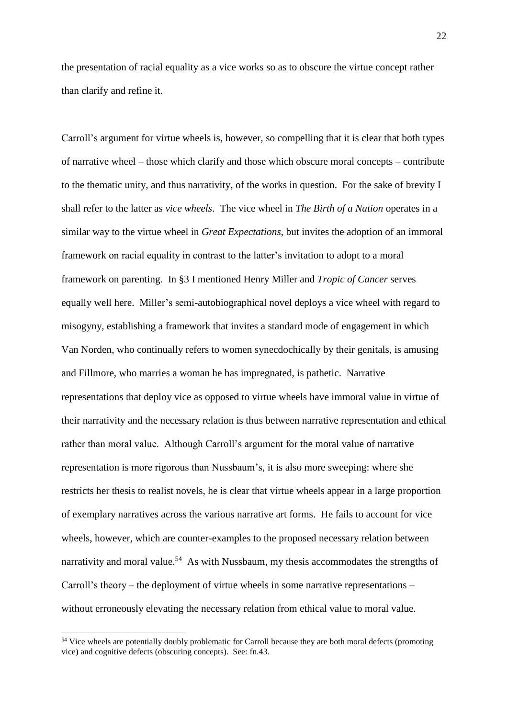the presentation of racial equality as a vice works so as to obscure the virtue concept rather than clarify and refine it.

Carroll's argument for virtue wheels is, however, so compelling that it is clear that both types of narrative wheel – those which clarify and those which obscure moral concepts – contribute to the thematic unity, and thus narrativity, of the works in question. For the sake of brevity I shall refer to the latter as *vice wheels*. The vice wheel in *The Birth of a Nation* operates in a similar way to the virtue wheel in *Great Expectations*, but invites the adoption of an immoral framework on racial equality in contrast to the latter's invitation to adopt to a moral framework on parenting. In §3 I mentioned Henry Miller and *Tropic of Cancer* serves equally well here. Miller's semi-autobiographical novel deploys a vice wheel with regard to misogyny, establishing a framework that invites a standard mode of engagement in which Van Norden, who continually refers to women synecdochically by their genitals, is amusing and Fillmore, who marries a woman he has impregnated, is pathetic. Narrative representations that deploy vice as opposed to virtue wheels have immoral value in virtue of their narrativity and the necessary relation is thus between narrative representation and ethical rather than moral value. Although Carroll's argument for the moral value of narrative representation is more rigorous than Nussbaum's, it is also more sweeping: where she restricts her thesis to realist novels, he is clear that virtue wheels appear in a large proportion of exemplary narratives across the various narrative art forms. He fails to account for vice wheels, however, which are counter-examples to the proposed necessary relation between narrativity and moral value.<sup>54</sup> As with Nussbaum, my thesis accommodates the strengths of Carroll's theory – the deployment of virtue wheels in some narrative representations – without erroneously elevating the necessary relation from ethical value to moral value.

<sup>&</sup>lt;sup>54</sup> Vice wheels are potentially doubly problematic for Carroll because they are both moral defects (promoting vice) and cognitive defects (obscuring concepts). See: fn.43.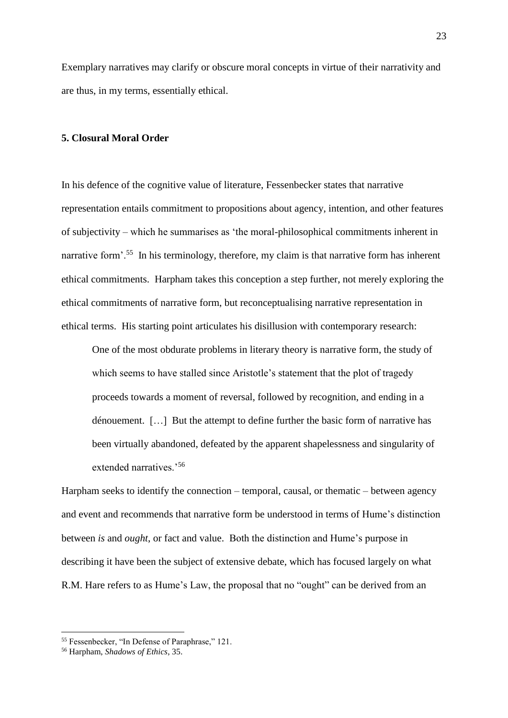Exemplary narratives may clarify or obscure moral concepts in virtue of their narrativity and are thus, in my terms, essentially ethical.

# **5. Closural Moral Order**

In his defence of the cognitive value of literature, Fessenbecker states that narrative representation entails commitment to propositions about agency, intention, and other features of subjectivity – which he summarises as 'the moral-philosophical commitments inherent in narrative form'.<sup>55</sup> In his terminology, therefore, my claim is that narrative form has inherent ethical commitments. Harpham takes this conception a step further, not merely exploring the ethical commitments of narrative form, but reconceptualising narrative representation in ethical terms. His starting point articulates his disillusion with contemporary research:

One of the most obdurate problems in literary theory is narrative form, the study of which seems to have stalled since Aristotle's statement that the plot of tragedy proceeds towards a moment of reversal, followed by recognition, and ending in a dénouement. […] But the attempt to define further the basic form of narrative has been virtually abandoned, defeated by the apparent shapelessness and singularity of extended narratives<sup>'56</sup>

Harpham seeks to identify the connection – temporal, causal, or thematic – between agency and event and recommends that narrative form be understood in terms of Hume's distinction between *is* and *ought*, or fact and value. Both the distinction and Hume's purpose in describing it have been the subject of extensive debate, which has focused largely on what R.M. Hare refers to as Hume's Law, the proposal that no "ought" can be derived from an

<sup>55</sup> Fessenbecker, "In Defense of Paraphrase," 121.

<sup>56</sup> Harpham, *Shadows of Ethics*, 35.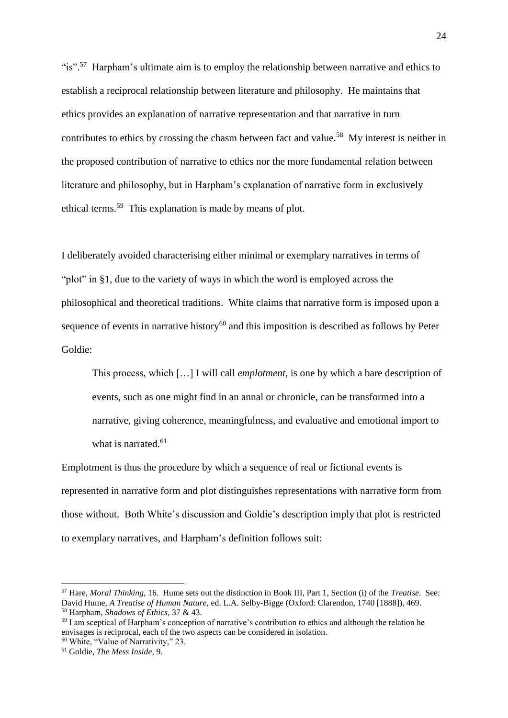"is".<sup>57</sup> Harpham's ultimate aim is to employ the relationship between narrative and ethics to establish a reciprocal relationship between literature and philosophy. He maintains that ethics provides an explanation of narrative representation and that narrative in turn contributes to ethics by crossing the chasm between fact and value.<sup>58</sup> My interest is neither in the proposed contribution of narrative to ethics nor the more fundamental relation between literature and philosophy, but in Harpham's explanation of narrative form in exclusively ethical terms.<sup>59</sup> This explanation is made by means of plot.

I deliberately avoided characterising either minimal or exemplary narratives in terms of "plot" in §1, due to the variety of ways in which the word is employed across the philosophical and theoretical traditions. White claims that narrative form is imposed upon a sequence of events in narrative history<sup>60</sup> and this imposition is described as follows by Peter Goldie:

This process, which […] I will call *emplotment*, is one by which a bare description of events, such as one might find in an annal or chronicle, can be transformed into a narrative, giving coherence, meaningfulness, and evaluative and emotional import to what is narrated.<sup>61</sup>

Emplotment is thus the procedure by which a sequence of real or fictional events is represented in narrative form and plot distinguishes representations with narrative form from those without. Both White's discussion and Goldie's description imply that plot is restricted to exemplary narratives, and Harpham's definition follows suit:

<sup>57</sup> Hare, *Moral Thinking*, 16. Hume sets out the distinction in Book III, Part 1, Section (i) of the *Treatise*. See: David Hume, *A Treatise of Human Nature*, ed. L.A. Selby-Bigge (Oxford: Clarendon, 1740 [1888]), 469. <sup>58</sup> Harpham, *Shadows of Ethics*, 37 & 43.

<sup>&</sup>lt;sup>59</sup> I am sceptical of Harpham's conception of narrative's contribution to ethics and although the relation he envisages is reciprocal, each of the two aspects can be considered in isolation.

<sup>60</sup> White, "Value of Narrativity," 23.

<sup>61</sup> Goldie, *The Mess Inside*, 9.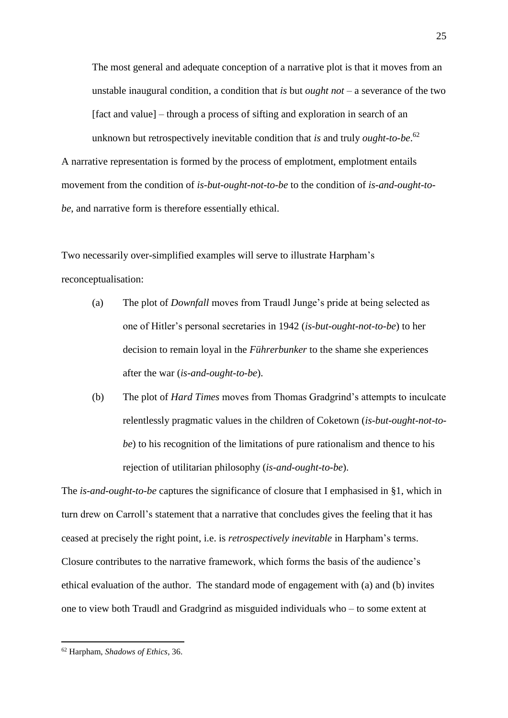The most general and adequate conception of a narrative plot is that it moves from an unstable inaugural condition, a condition that *is* but *ought not* – a severance of the two [fact and value] – through a process of sifting and exploration in search of an unknown but retrospectively inevitable condition that *is* and truly *ought-to-be*. 62 A narrative representation is formed by the process of emplotment, emplotment entails movement from the condition of *is-but-ought-not-to-be* to the condition of *is-and-ought-tobe*, and narrative form is therefore essentially ethical.

Two necessarily over-simplified examples will serve to illustrate Harpham's reconceptualisation:

- (a) The plot of *Downfall* moves from Traudl Junge's pride at being selected as one of Hitler's personal secretaries in 1942 (*is-but-ought-not-to-be*) to her decision to remain loyal in the *Führerbunker* to the shame she experiences after the war (*is-and-ought-to-be*).
- (b) The plot of *Hard Times* moves from Thomas Gradgrind's attempts to inculcate relentlessly pragmatic values in the children of Coketown (*is-but-ought-not-tobe*) to his recognition of the limitations of pure rationalism and thence to his rejection of utilitarian philosophy (*is-and-ought-to-be*).

The *is-and-ought-to-be* captures the significance of closure that I emphasised in §1, which in turn drew on Carroll's statement that a narrative that concludes gives the feeling that it has ceased at precisely the right point, i.e. is *retrospectively inevitable* in Harpham's terms. Closure contributes to the narrative framework, which forms the basis of the audience's ethical evaluation of the author. The standard mode of engagement with (a) and (b) invites one to view both Traudl and Gradgrind as misguided individuals who – to some extent at

<sup>62</sup> Harpham, *Shadows of Ethics*, 36.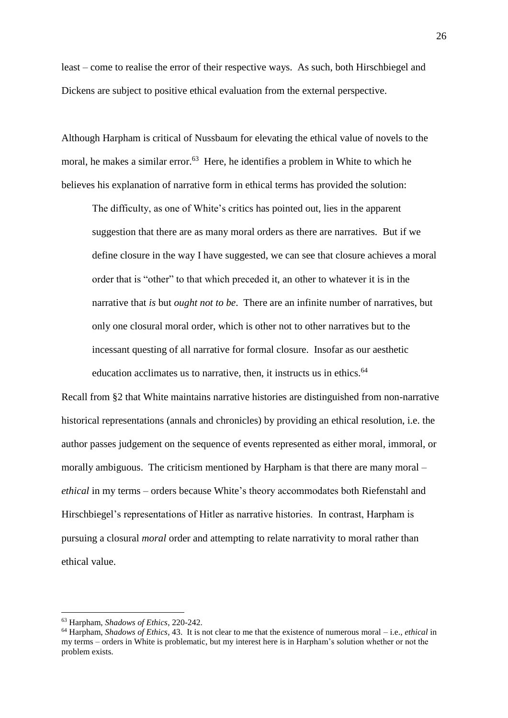least – come to realise the error of their respective ways. As such, both Hirschbiegel and Dickens are subject to positive ethical evaluation from the external perspective.

Although Harpham is critical of Nussbaum for elevating the ethical value of novels to the moral, he makes a similar error.<sup>63</sup> Here, he identifies a problem in White to which he believes his explanation of narrative form in ethical terms has provided the solution:

The difficulty, as one of White's critics has pointed out, lies in the apparent suggestion that there are as many moral orders as there are narratives. But if we define closure in the way I have suggested, we can see that closure achieves a moral order that is "other" to that which preceded it, an other to whatever it is in the narrative that *is* but *ought not to be*. There are an infinite number of narratives, but only one closural moral order, which is other not to other narratives but to the incessant questing of all narrative for formal closure. Insofar as our aesthetic education acclimates us to narrative, then, it instructs us in ethics.<sup>64</sup>

Recall from §2 that White maintains narrative histories are distinguished from non-narrative historical representations (annals and chronicles) by providing an ethical resolution, i.e. the author passes judgement on the sequence of events represented as either moral, immoral, or morally ambiguous. The criticism mentioned by Harpham is that there are many moral – *ethical* in my terms – orders because White's theory accommodates both Riefenstahl and Hirschbiegel's representations of Hitler as narrative histories. In contrast, Harpham is pursuing a closural *moral* order and attempting to relate narrativity to moral rather than ethical value.

<sup>63</sup> Harpham, *Shadows of Ethics*, 220-242.

<sup>64</sup> Harpham, *Shadows of Ethics*, 43. It is not clear to me that the existence of numerous moral – i.e., *ethical* in my terms – orders in White is problematic, but my interest here is in Harpham's solution whether or not the problem exists.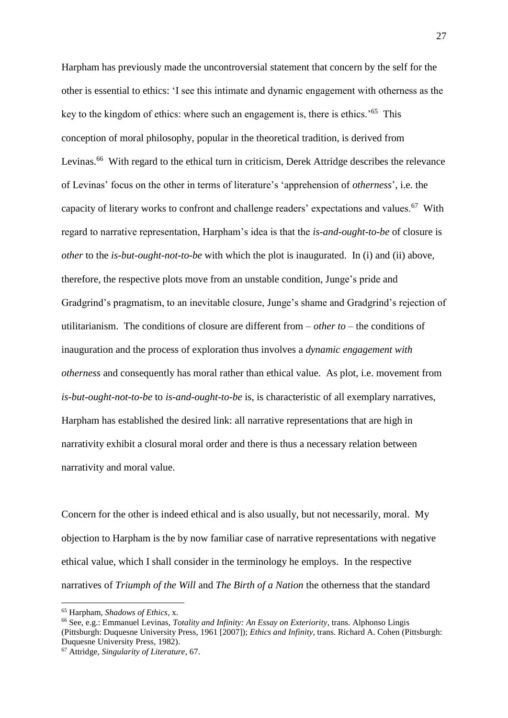Harpham has previously made the uncontroversial statement that concern by the self for the other is essential to ethics: 'I see this intimate and dynamic engagement with otherness as the key to the kingdom of ethics: where such an engagement is, there is ethics.'<sup>65</sup> This conception of moral philosophy, popular in the theoretical tradition, is derived from Levinas.<sup>66</sup> With regard to the ethical turn in criticism, Derek Attridge describes the relevance of Levinas' focus on the other in terms of literature's 'apprehension of *otherness*', i.e. the capacity of literary works to confront and challenge readers' expectations and values.<sup>67</sup> With regard to narrative representation, Harpham's idea is that the *is-and-ought-to-be* of closure is *other* to the *is-but-ought-not-to-be* with which the plot is inaugurated. In (i) and (ii) above, therefore, the respective plots move from an unstable condition, Junge's pride and Gradgrind's pragmatism, to an inevitable closure, Junge's shame and Gradgrind's rejection of utilitarianism. The conditions of closure are different from – *other to* – the conditions of inauguration and the process of exploration thus involves a *dynamic engagement with otherness* and consequently has moral rather than ethical value. As plot, i.e. movement from *is-but-ought-not-to-be* to *is-and-ought-to-be* is, is characteristic of all exemplary narratives, Harpham has established the desired link: all narrative representations that are high in narrativity exhibit a closural moral order and there is thus a necessary relation between narrativity and moral value.

Concern for the other is indeed ethical and is also usually, but not necessarily, moral. My objection to Harpham is the by now familiar case of narrative representations with negative ethical value, which I shall consider in the terminology he employs. In the respective narratives of *Triumph of the Will* and *The Birth of a Nation* the otherness that the standard

<u>.</u>

<sup>65</sup> Harpham, *Shadows of Ethics*, x.

<sup>66</sup> See, e.g.: Emmanuel Levinas, *Totality and Infinity: An Essay on Exteriority*, trans. Alphonso Lingis (Pittsburgh: Duquesne University Press, 1961 [2007]); *Ethics and Infinity*, trans. Richard A. Cohen (Pittsburgh: Duquesne University Press, 1982).

<sup>67</sup> Attridge, *Singularity of Literature*, 67.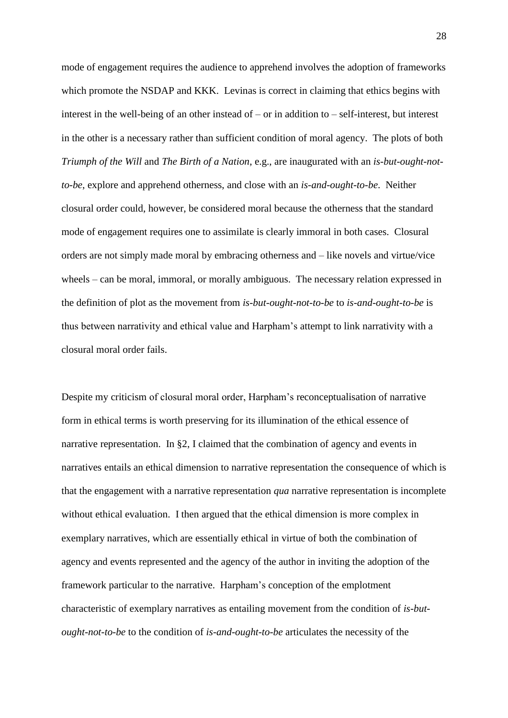mode of engagement requires the audience to apprehend involves the adoption of frameworks which promote the NSDAP and KKK. Levinas is correct in claiming that ethics begins with interest in the well-being of an other instead of – or in addition to – self-interest, but interest in the other is a necessary rather than sufficient condition of moral agency. The plots of both *Triumph of the Will* and *The Birth of a Nation*, e.g., are inaugurated with an *is-but-ought-notto-be*, explore and apprehend otherness, and close with an *is-and-ought-to-be*. Neither closural order could, however, be considered moral because the otherness that the standard mode of engagement requires one to assimilate is clearly immoral in both cases. Closural orders are not simply made moral by embracing otherness and – like novels and virtue/vice wheels – can be moral, immoral, or morally ambiguous. The necessary relation expressed in the definition of plot as the movement from *is-but-ought-not-to-be* to *is-and-ought-to-be* is thus between narrativity and ethical value and Harpham's attempt to link narrativity with a closural moral order fails.

Despite my criticism of closural moral order, Harpham's reconceptualisation of narrative form in ethical terms is worth preserving for its illumination of the ethical essence of narrative representation. In §2, I claimed that the combination of agency and events in narratives entails an ethical dimension to narrative representation the consequence of which is that the engagement with a narrative representation *qua* narrative representation is incomplete without ethical evaluation. I then argued that the ethical dimension is more complex in exemplary narratives, which are essentially ethical in virtue of both the combination of agency and events represented and the agency of the author in inviting the adoption of the framework particular to the narrative. Harpham's conception of the emplotment characteristic of exemplary narratives as entailing movement from the condition of *is-butought-not-to-be* to the condition of *is-and-ought-to-be* articulates the necessity of the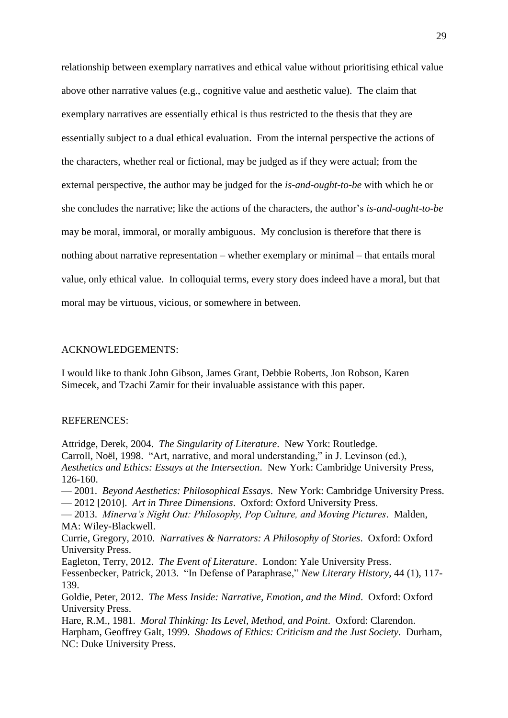relationship between exemplary narratives and ethical value without prioritising ethical value above other narrative values (e.g., cognitive value and aesthetic value). The claim that exemplary narratives are essentially ethical is thus restricted to the thesis that they are essentially subject to a dual ethical evaluation. From the internal perspective the actions of the characters, whether real or fictional, may be judged as if they were actual; from the external perspective, the author may be judged for the *is-and-ought-to-be* with which he or she concludes the narrative; like the actions of the characters, the author's *is-and-ought-to-be* may be moral, immoral, or morally ambiguous. My conclusion is therefore that there is nothing about narrative representation – whether exemplary or minimal – that entails moral value, only ethical value. In colloquial terms, every story does indeed have a moral, but that moral may be virtuous, vicious, or somewhere in between.

## ACKNOWLEDGEMENTS:

I would like to thank John Gibson, James Grant, Debbie Roberts, Jon Robson, Karen Simecek, and Tzachi Zamir for their invaluable assistance with this paper.

## REFERENCES:

Attridge, Derek, 2004. *The Singularity of Literature*. New York: Routledge. Carroll, Noël, 1998. "Art, narrative, and moral understanding," in J. Levinson (ed.), *Aesthetics and Ethics: Essays at the Intersection*. New York: Cambridge University Press, 126-160. — 2001. *Beyond Aesthetics: Philosophical Essays*. New York: Cambridge University Press. — 2012 [2010]. *Art in Three Dimensions*. Oxford: Oxford University Press. — 2013. *Minerva's Night Out: Philosophy, Pop Culture, and Moving Pictures*. Malden, MA: Wiley-Blackwell.

Currie, Gregory, 2010. *Narratives & Narrators: A Philosophy of Stories*. Oxford: Oxford University Press.

Eagleton, Terry, 2012. *The Event of Literature*. London: Yale University Press. Fessenbecker, Patrick, 2013. "In Defense of Paraphrase," *New Literary History*, 44 (1), 117- 139.

Goldie, Peter, 2012. *The Mess Inside: Narrative, Emotion, and the Mind*. Oxford: Oxford University Press.

Hare, R.M., 1981. *Moral Thinking: Its Level, Method, and Point*. Oxford: Clarendon. Harpham, Geoffrey Galt, 1999. *Shadows of Ethics: Criticism and the Just Society*. Durham, NC: Duke University Press.